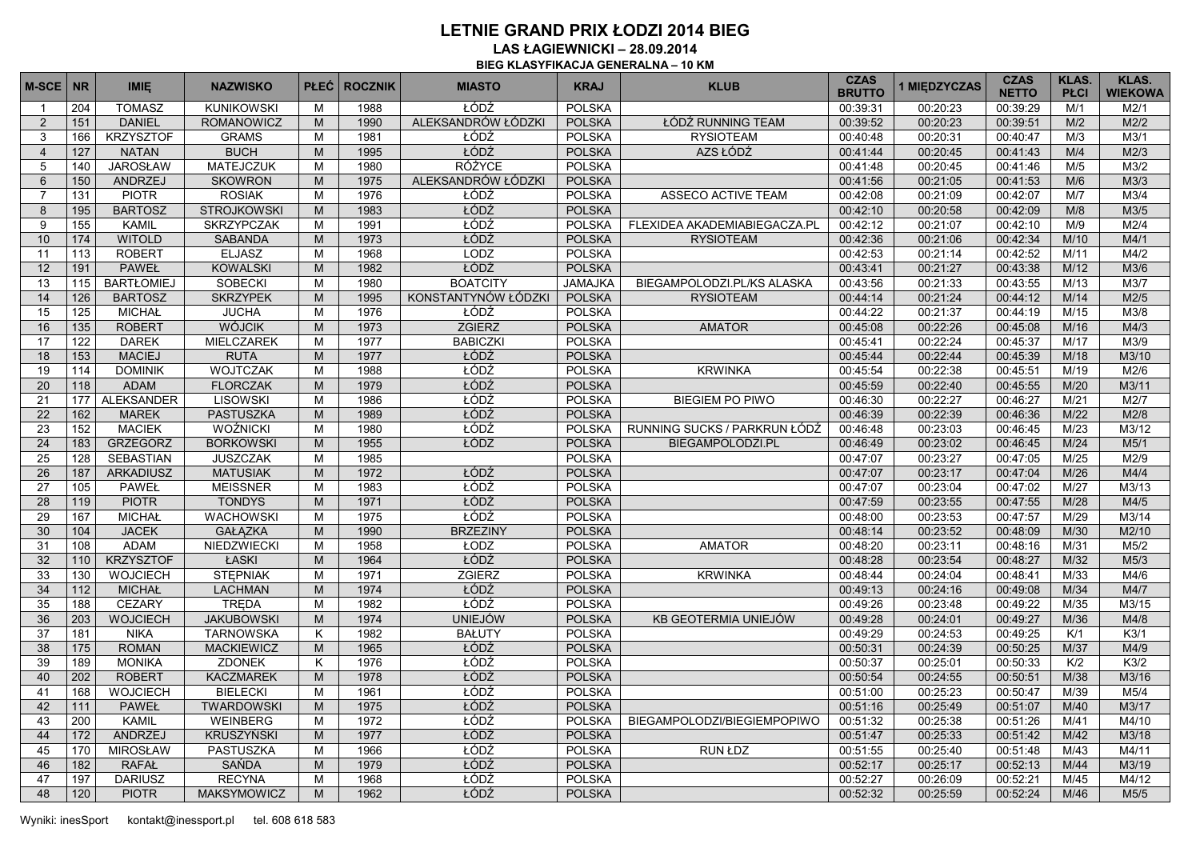**LAS ŁAGIEWNICKI – 28.09.2014 BIEG KLASYFIKACJA GENERALNA – 10 KM**

| 204<br><b>KUNIKOWSKI</b><br>M<br>1988<br>00:20:23<br>M/1<br>$\mathbf{1}$<br>ALEKSANDRÓW ŁÓDZKI<br><b>DANIEL</b><br><b>POLSKA</b><br>151<br><b>ROMANOWICZ</b><br>1990<br>ŁÓDŹ RUNNING TEAM<br>00:39:52<br>00:20:23<br>00:39:51<br>M/2<br>M2/2<br>2<br>M<br>ŁÓDŹ<br><b>KRZYSZTOF</b><br><b>POLSKA</b><br>M3/1<br>166<br><b>GRAMS</b><br>M<br>1981<br><b>RYSIOTEAM</b><br>00:40:48<br>00:20:31<br>00:40:47<br>M/3<br>3<br>ŁÓDŹ<br>AZS ŁÓDŹ<br>127<br><b>NATAN</b><br><b>BUCH</b><br>1995<br><b>POLSKA</b><br>00:20:45<br>M/4<br>M2/3<br>M<br>00:41:44<br>00:41:43<br>$\overline{4}$<br><b>RÓŻYCE</b><br><b>JAROSŁAW</b><br><b>POLSKA</b><br>M3/2<br>140<br>MATEJCZUK<br>M<br>1980<br>00:41:48<br>00:20:45<br>00:41:46<br>M/5<br>5<br>ALEKSANDRÓW ŁÓDZKI<br>150<br>ANDRZEJ<br><b>SKOWRON</b><br><b>POLSKA</b><br>00:21:05<br>M/6<br>M3/3<br>6<br>M<br>1975<br>00:41:56<br>00:41:53<br>ŁÓDŹ<br><b>PIOTR</b><br><b>POLSKA</b><br>M3/4<br>131<br><b>ROSIAK</b><br>M<br>1976<br><b>ASSECO ACTIVE TEAM</b><br>00:42:08<br>00:21:09<br>00:42:07<br>M/7<br>7<br>ŁÓDŹ<br>195<br><b>BARTOSZ</b><br><b>STROJKOWSKI</b><br>1983<br><b>POLSKA</b><br>M/8<br>M3/5<br>8<br>M<br>00:42:10<br>00:20:58<br>00:42:09<br>ŁÓDŹ<br><b>POLSKA</b><br>155<br><b>KAMIL</b><br><b>SKRZYPCZAK</b><br>M<br>1991<br>FLEXIDEA AKADEMIABIEGACZA.PL<br>00:42:12<br>00:21:07<br>00:42:10<br>M/9<br>M2/4<br>9<br>ŁÓDŹ<br>174<br><b>WITOLD</b><br><b>SABANDA</b><br><b>POLSKA</b><br>00:42:34<br>10<br>1973<br><b>RYSIOTEAM</b><br>00:42:36<br>00:21:06<br>M/10<br>M4/1<br>M<br><b>ELJASZ</b><br>LODZ<br>113<br><b>ROBERT</b><br>M<br>1968<br><b>POLSKA</b><br>00:42:52<br>M/11<br>M4/2<br>11<br>00:42:53<br>00:21:14<br>ŁÓDŹ<br>191<br><b>PAWEŁ</b><br><b>KOWALSKI</b><br><b>POLSKA</b><br>M3/6<br>12<br>M<br>1982<br>00:43:41<br>00:21:27<br>00:43:38<br>M/12<br><b>SOBECKI</b><br><b>BOATCITY</b><br>115<br><b>BARTŁOMIEJ</b><br>M<br><b>JAMAJKA</b><br>00:43:55<br>M/13<br>M3/7<br>13<br>1980<br>BIEGAMPOLODZI.PL/KS ALASKA<br>00:43:56<br>00:21:33<br><b>SKRZYPEK</b><br>KONSTANTYNÓW ŁÓDZKI<br><b>POLSKA</b><br>126<br><b>BARTOSZ</b><br>M<br>1995<br><b>RYSIOTEAM</b><br>00:21:24<br>00:44:12<br>M/14<br>M2/5<br>14<br>00:44:14<br>ŁÓDŹ<br><b>JUCHA</b><br>M<br><b>POLSKA</b><br>M/15<br>M3/8<br>15<br>125<br><b>MICHAŁ</b><br>1976<br>00:44:22<br>00:21:37<br>00:44:19<br>ZGIERZ<br>16<br>135<br><b>ROBERT</b><br><b>WÓJCIK</b><br>1973<br><b>POLSKA</b><br><b>AMATOR</b><br>00:22:26<br>00:45:08<br>M/16<br>M4/3<br>M<br>00:45:08<br><b>BABICZKI</b><br>M3/9<br>122<br><b>DAREK</b><br><b>MIELCZAREK</b><br>M<br>1977<br><b>POLSKA</b><br>00:22:24<br>M/17<br>17<br>00:45:41<br>00:45:37<br>ŁÓDŹ<br><b>RUTA</b><br>153<br><b>MACIEJ</b><br>1977<br><b>POLSKA</b><br>18<br>M<br>00:45:44<br>00:22:44<br>00:45:39<br>M/18<br>M3/10<br>ŁÓDŹ<br><b>WOJTCZAK</b><br>114<br><b>DOMINIK</b><br>M<br>1988<br><b>POLSKA</b><br><b>KRWINKA</b><br>00:22:38<br>00:45:51<br>M/19<br>M2/6<br>19<br>00:45:54<br>ŁÓDŹ<br>118<br><b>FLORCZAK</b><br><b>POLSKA</b><br>M/20<br>20<br><b>ADAM</b><br>M<br>1979<br>00:45:59<br>00:22:40<br>00:45:55<br>M3/11<br>ŁÓDŹ<br>177<br><b>ALEKSANDER</b><br><b>LISOWSKI</b><br>M<br>1986<br><b>POLSKA</b><br>00:22:27<br>00:46:27<br>M/21<br>M2/7<br>21<br><b>BIEGIEM PO PIWO</b><br>00:46:30<br>ŁÓDŹ<br><b>PASTUSZKA</b><br>22<br>162<br><b>MAREK</b><br>M<br>1989<br><b>POLSKA</b><br>00:46:39<br>00:22:39<br>00:46:36<br>M/22<br>M2/8<br>ŁÓDŹ<br>23<br>152<br><b>MACIEK</b><br><b>WOŹNICKI</b><br>M<br>1980<br><b>POLSKA</b><br>RUNNING SUCKS / PARKRUN ŁÓDŹ<br>00:23:03<br>M/23<br>M3/12<br>00:46:48<br>00:46:45<br>ŁÓDZ<br>24<br>183<br><b>GRZEGORZ</b><br><b>BORKOWSKI</b><br>1955<br><b>POLSKA</b><br>00:23:02<br>00:46:45<br>M/24<br>M5/1<br>M<br>BIEGAMPOLODZI.PL<br>00:46:49<br>25<br>128<br><b>SEBASTIAN</b><br><b>JUSZCZAK</b><br><b>POLSKA</b><br>M/25<br>M2/9<br>M<br>1985<br>00:47:07<br>00:23:27<br>00:47:05<br>ŁÓDŹ<br>26<br>187<br><b>ARKADIUSZ</b><br><b>MATUSIAK</b><br>1972<br><b>POLSKA</b><br>00:23:17<br>00:47:04<br>M/26<br>M4/4<br>M<br>00:47:07<br>ŁÓDŹ<br><b>MEISSNER</b><br><b>POLSKA</b><br>27<br>105<br><b>PAWEŁ</b><br>M<br>1983<br>00:47:07<br>00:23:04<br>00:47:02<br>M/27<br>M3/13<br>ŁÓDŹ<br>28<br>119<br><b>PIOTR</b><br><b>TONDYS</b><br>M<br>1971<br><b>POLSKA</b><br>00:23:55<br>00:47:55<br>M/28<br>M4/5<br>00:47:59<br>ŁÓDŹ<br><b>POLSKA</b><br>29<br>167<br><b>MICHAŁ</b><br><b>WACHOWSKI</b><br>M<br>1975<br>00:48:00<br>00:23:53<br>00:47:57<br>M/29<br>M3/14<br>104<br><b>JACEK</b><br><b>GAŁĄZKA</b><br><b>BRZEZINY</b><br><b>POLSKA</b><br>00:23:52<br>30<br>M<br>1990<br>00:48:14<br>00:48:09<br>M/30<br>M2/10<br>ŁODZ<br>31<br>108<br><b>ADAM</b><br>NIEDZWIECKI<br>M<br>1958<br><b>POLSKA</b><br><b>AMATOR</b><br>00:48:20<br>00:23:11<br>00:48:16<br>M/31<br>M5/2<br>ŁÓDŹ<br>110<br><b>KRZYSZTOF</b><br>ŁASKI<br><b>POLSKA</b><br>M5/3<br>32<br>M<br>1964<br>00:48:28<br>00:23:54<br>00:48:27<br>M/32<br><b>STEPNIAK</b><br>ZGIERZ<br>130<br><b>WOJCIECH</b><br>1971<br><b>POLSKA</b><br>00:24:04<br>M/33<br>M4/6<br>33<br>M<br><b>KRWINKA</b><br>00:48:44<br>00:48:41<br>ŁÓDŹ<br>112<br><b>MICHAŁ</b><br><b>LACHMAN</b><br><b>POLSKA</b><br>M4/7<br>34<br>M<br>1974<br>00:49:13<br>00:24:16<br>00:49:08<br>M/34<br>ŁÓDŹ<br>188<br>CEZARY<br><b>TRĘDA</b><br>1982<br><b>POLSKA</b><br>00:23:48<br>00:49:22<br>M/35<br>M3/15<br>35<br>M<br>00:49:26<br><b>UNIEJÓW</b><br>203<br><b>POLSKA</b><br>36<br><b>WOJCIECH</b><br><b>JAKUBOWSKI</b><br>1974<br>KB GEOTERMIA UNIEJÓW<br>00:49:28<br>00:24:01<br>00:49:27<br>M/36<br>M4/8<br>M<br><b>TARNOWSKA</b><br><b>BAŁUTY</b><br><b>POLSKA</b><br>K/1<br>K3/1<br>37<br>181<br><b>NIKA</b><br>K<br>1982<br>00:49:29<br>00:24:53<br>00:49:25<br>ŁÓDŹ<br>38<br>175<br><b>ROMAN</b><br><b>MACKIEWICZ</b><br>1965<br><b>POLSKA</b><br>00:50:31<br>00:24:39<br>00:50:25<br>M/37<br>M4/9<br>M<br>ŁÓDŹ<br>K3/2<br>39<br>189<br><b>MONIKA</b><br><b>ZDONEK</b><br>K<br>1976<br><b>POLSKA</b><br>00:50:37<br>00:25:01<br>00:50:33<br>K/2<br>ŁÓDŹ<br>202<br>1978<br><b>POLSKA</b><br>M/38<br>M3/16<br>40<br><b>ROBERT</b><br><b>KACZMAREK</b><br>M<br>00:50:54<br>00:24:55<br>00:50:51<br>ŁÓDŹ<br><b>BIELECKI</b><br>M5/4<br>168<br><b>WOJCIECH</b><br>M<br>1961<br><b>POLSKA</b><br>00:51:00<br>00:25:23<br>00:50:47<br>M/39<br>41<br>ŁÓDŹ<br><b>POLSKA</b><br>M3/17<br>42<br>111<br><b>PAWEŁ</b><br><b>TWARDOWSKI</b><br>M<br>1975<br>00:51:16<br>00:25:49<br>00:51:07<br>M/40<br>ŁÓDŹ<br>43<br>200<br><b>KAMIL</b><br><b>WEINBERG</b><br>M<br>1972<br><b>POLSKA</b><br>BIEGAMPOLODZI/BIEGIEMPOPIWO<br>00:51:32<br>00:25:38<br>00:51:26<br>M/41<br>M4/10<br>ŁÓDŹ<br><b>KRUSZYŃSKI</b><br>44<br>172<br><b>ANDRZEJ</b><br>M<br>1977<br><b>POLSKA</b><br>00:51:47<br>00:25:33<br>00:51:42<br>M/42<br>M3/18<br>ŁÓDŹ<br><b>MIROSŁAW</b><br><b>PASTUSZKA</b><br>1966<br><b>POLSKA</b><br>00:25:40<br>M4/11<br>45<br>170<br>M<br>RUN ŁDZ<br>00:51:55<br>00:51:48<br>M/43<br>ŁÓDŹ<br>182<br><b>SAŃDA</b><br><b>POLSKA</b><br>M3/19<br>46<br><b>RAFAŁ</b><br>M<br>1979<br>00:52:17<br>00:25:17<br>00:52:13<br>M/44<br>ŁÓDŹ<br>197<br>1968<br><b>POLSKA</b><br>00:26:09<br>M/45<br>47<br><b>DARIUSZ</b><br><b>RECYNA</b><br>M<br>00:52:27<br>00:52:21<br>M4/12<br>ŁÓDŹ<br>48<br>120<br><b>PIOTR</b><br>M<br>1962<br><b>POLSKA</b><br>00:52:32<br>00:25:59<br>00:52:24<br>M/46<br><b>MAKSYMOWICZ</b><br>M5/5 | <b>M-SCE</b> | <b>NR</b> | <b>IMIE</b>   | <b>NAZWISKO</b> | <b>PLEC</b> | <b>ROCZNIK</b> | <b>MIASTO</b> | <b>KRAJ</b>   | <b>KLUB</b> | <b>CZAS</b><br><b>BRUTTO</b> | 1 MIEDZYCZAS | <b>CZAS</b><br><b>NETTO</b> | <b>KLAS.</b><br><b>PŁCI</b> | <b>KLAS.</b><br><b>WIEKOWA</b> |
|--------------------------------------------------------------------------------------------------------------------------------------------------------------------------------------------------------------------------------------------------------------------------------------------------------------------------------------------------------------------------------------------------------------------------------------------------------------------------------------------------------------------------------------------------------------------------------------------------------------------------------------------------------------------------------------------------------------------------------------------------------------------------------------------------------------------------------------------------------------------------------------------------------------------------------------------------------------------------------------------------------------------------------------------------------------------------------------------------------------------------------------------------------------------------------------------------------------------------------------------------------------------------------------------------------------------------------------------------------------------------------------------------------------------------------------------------------------------------------------------------------------------------------------------------------------------------------------------------------------------------------------------------------------------------------------------------------------------------------------------------------------------------------------------------------------------------------------------------------------------------------------------------------------------------------------------------------------------------------------------------------------------------------------------------------------------------------------------------------------------------------------------------------------------------------------------------------------------------------------------------------------------------------------------------------------------------------------------------------------------------------------------------------------------------------------------------------------------------------------------------------------------------------------------------------------------------------------------------------------------------------------------------------------------------------------------------------------------------------------------------------------------------------------------------------------------------------------------------------------------------------------------------------------------------------------------------------------------------------------------------------------------------------------------------------------------------------------------------------------------------------------------------------------------------------------------------------------------------------------------------------------------------------------------------------------------------------------------------------------------------------------------------------------------------------------------------------------------------------------------------------------------------------------------------------------------------------------------------------------------------------------------------------------------------------------------------------------------------------------------------------------------------------------------------------------------------------------------------------------------------------------------------------------------------------------------------------------------------------------------------------------------------------------------------------------------------------------------------------------------------------------------------------------------------------------------------------------------------------------------------------------------------------------------------------------------------------------------------------------------------------------------------------------------------------------------------------------------------------------------------------------------------------------------------------------------------------------------------------------------------------------------------------------------------------------------------------------------------------------------------------------------------------------------------------------------------------------------------------------------------------------------------------------------------------------------------------------------------------------------------------------------------------------------------------------------------------------------------------------------------------------------------------------------------------------------------------------------------------------------------------------------------------------------------------------------------------------------------------------------------------------------------------------------------------------------------------------------------------------------------------------------------------------------------------------------------------------------------------------------------------------------------------------------------------------------------------------------------------------------------------------------------------------------------------------------------------------------------------------------------------------------------------------------------------------------------------------------------------------------------------------------------------------------------------------------------------------------------------------------------------------------------------------------------------------------------------------------------------------------------------------------------------------------------------------------------------------------------------------------------------------------------------------------------------------------------------------------------------------------------------------------------------------------------------------------------------------------------------------------------------------------------------------------------------------------------------------------------------------------------------------------------------------------------------------------------------------------------------------------------------------------------------------------------------------------------------------------------------------------------------------------------------------------------------------------------------------------------------------------------------------------------------------------------------------------------------------------------------------------------------------------------------------------------------------------------------------------------------------------------------|--------------|-----------|---------------|-----------------|-------------|----------------|---------------|---------------|-------------|------------------------------|--------------|-----------------------------|-----------------------------|--------------------------------|
|                                                                                                                                                                                                                                                                                                                                                                                                                                                                                                                                                                                                                                                                                                                                                                                                                                                                                                                                                                                                                                                                                                                                                                                                                                                                                                                                                                                                                                                                                                                                                                                                                                                                                                                                                                                                                                                                                                                                                                                                                                                                                                                                                                                                                                                                                                                                                                                                                                                                                                                                                                                                                                                                                                                                                                                                                                                                                                                                                                                                                                                                                                                                                                                                                                                                                                                                                                                                                                                                                                                                                                                                                                                                                                                                                                                                                                                                                                                                                                                                                                                                                                                                                                                                                                                                                                                                                                                                                                                                                                                                                                                                                                                                                                                                                                                                                                                                                                                                                                                                                                                                                                                                                                                                                                                                                                                                                                                                                                                                                                                                                                                                                                                                                                                                                                                                                                                                                                                                                                                                                                                                                                                                                                                                                                                                                                                                                                                                                                                                                                                                                                                                                                                                                                                                                                                                                                                                                                                                                                                                                                                                                                                                                                                                                                                                                                                                                                                |              |           | <b>TOMASZ</b> |                 |             |                | ŁÓDŹ          | <b>POLSKA</b> |             | 00:39:31                     |              | 00:39:29                    |                             | M2/1                           |
|                                                                                                                                                                                                                                                                                                                                                                                                                                                                                                                                                                                                                                                                                                                                                                                                                                                                                                                                                                                                                                                                                                                                                                                                                                                                                                                                                                                                                                                                                                                                                                                                                                                                                                                                                                                                                                                                                                                                                                                                                                                                                                                                                                                                                                                                                                                                                                                                                                                                                                                                                                                                                                                                                                                                                                                                                                                                                                                                                                                                                                                                                                                                                                                                                                                                                                                                                                                                                                                                                                                                                                                                                                                                                                                                                                                                                                                                                                                                                                                                                                                                                                                                                                                                                                                                                                                                                                                                                                                                                                                                                                                                                                                                                                                                                                                                                                                                                                                                                                                                                                                                                                                                                                                                                                                                                                                                                                                                                                                                                                                                                                                                                                                                                                                                                                                                                                                                                                                                                                                                                                                                                                                                                                                                                                                                                                                                                                                                                                                                                                                                                                                                                                                                                                                                                                                                                                                                                                                                                                                                                                                                                                                                                                                                                                                                                                                                                                                |              |           |               |                 |             |                |               |               |             |                              |              |                             |                             |                                |
|                                                                                                                                                                                                                                                                                                                                                                                                                                                                                                                                                                                                                                                                                                                                                                                                                                                                                                                                                                                                                                                                                                                                                                                                                                                                                                                                                                                                                                                                                                                                                                                                                                                                                                                                                                                                                                                                                                                                                                                                                                                                                                                                                                                                                                                                                                                                                                                                                                                                                                                                                                                                                                                                                                                                                                                                                                                                                                                                                                                                                                                                                                                                                                                                                                                                                                                                                                                                                                                                                                                                                                                                                                                                                                                                                                                                                                                                                                                                                                                                                                                                                                                                                                                                                                                                                                                                                                                                                                                                                                                                                                                                                                                                                                                                                                                                                                                                                                                                                                                                                                                                                                                                                                                                                                                                                                                                                                                                                                                                                                                                                                                                                                                                                                                                                                                                                                                                                                                                                                                                                                                                                                                                                                                                                                                                                                                                                                                                                                                                                                                                                                                                                                                                                                                                                                                                                                                                                                                                                                                                                                                                                                                                                                                                                                                                                                                                                                                |              |           |               |                 |             |                |               |               |             |                              |              |                             |                             |                                |
|                                                                                                                                                                                                                                                                                                                                                                                                                                                                                                                                                                                                                                                                                                                                                                                                                                                                                                                                                                                                                                                                                                                                                                                                                                                                                                                                                                                                                                                                                                                                                                                                                                                                                                                                                                                                                                                                                                                                                                                                                                                                                                                                                                                                                                                                                                                                                                                                                                                                                                                                                                                                                                                                                                                                                                                                                                                                                                                                                                                                                                                                                                                                                                                                                                                                                                                                                                                                                                                                                                                                                                                                                                                                                                                                                                                                                                                                                                                                                                                                                                                                                                                                                                                                                                                                                                                                                                                                                                                                                                                                                                                                                                                                                                                                                                                                                                                                                                                                                                                                                                                                                                                                                                                                                                                                                                                                                                                                                                                                                                                                                                                                                                                                                                                                                                                                                                                                                                                                                                                                                                                                                                                                                                                                                                                                                                                                                                                                                                                                                                                                                                                                                                                                                                                                                                                                                                                                                                                                                                                                                                                                                                                                                                                                                                                                                                                                                                                |              |           |               |                 |             |                |               |               |             |                              |              |                             |                             |                                |
|                                                                                                                                                                                                                                                                                                                                                                                                                                                                                                                                                                                                                                                                                                                                                                                                                                                                                                                                                                                                                                                                                                                                                                                                                                                                                                                                                                                                                                                                                                                                                                                                                                                                                                                                                                                                                                                                                                                                                                                                                                                                                                                                                                                                                                                                                                                                                                                                                                                                                                                                                                                                                                                                                                                                                                                                                                                                                                                                                                                                                                                                                                                                                                                                                                                                                                                                                                                                                                                                                                                                                                                                                                                                                                                                                                                                                                                                                                                                                                                                                                                                                                                                                                                                                                                                                                                                                                                                                                                                                                                                                                                                                                                                                                                                                                                                                                                                                                                                                                                                                                                                                                                                                                                                                                                                                                                                                                                                                                                                                                                                                                                                                                                                                                                                                                                                                                                                                                                                                                                                                                                                                                                                                                                                                                                                                                                                                                                                                                                                                                                                                                                                                                                                                                                                                                                                                                                                                                                                                                                                                                                                                                                                                                                                                                                                                                                                                                                |              |           |               |                 |             |                |               |               |             |                              |              |                             |                             |                                |
|                                                                                                                                                                                                                                                                                                                                                                                                                                                                                                                                                                                                                                                                                                                                                                                                                                                                                                                                                                                                                                                                                                                                                                                                                                                                                                                                                                                                                                                                                                                                                                                                                                                                                                                                                                                                                                                                                                                                                                                                                                                                                                                                                                                                                                                                                                                                                                                                                                                                                                                                                                                                                                                                                                                                                                                                                                                                                                                                                                                                                                                                                                                                                                                                                                                                                                                                                                                                                                                                                                                                                                                                                                                                                                                                                                                                                                                                                                                                                                                                                                                                                                                                                                                                                                                                                                                                                                                                                                                                                                                                                                                                                                                                                                                                                                                                                                                                                                                                                                                                                                                                                                                                                                                                                                                                                                                                                                                                                                                                                                                                                                                                                                                                                                                                                                                                                                                                                                                                                                                                                                                                                                                                                                                                                                                                                                                                                                                                                                                                                                                                                                                                                                                                                                                                                                                                                                                                                                                                                                                                                                                                                                                                                                                                                                                                                                                                                                                |              |           |               |                 |             |                |               |               |             |                              |              |                             |                             |                                |
|                                                                                                                                                                                                                                                                                                                                                                                                                                                                                                                                                                                                                                                                                                                                                                                                                                                                                                                                                                                                                                                                                                                                                                                                                                                                                                                                                                                                                                                                                                                                                                                                                                                                                                                                                                                                                                                                                                                                                                                                                                                                                                                                                                                                                                                                                                                                                                                                                                                                                                                                                                                                                                                                                                                                                                                                                                                                                                                                                                                                                                                                                                                                                                                                                                                                                                                                                                                                                                                                                                                                                                                                                                                                                                                                                                                                                                                                                                                                                                                                                                                                                                                                                                                                                                                                                                                                                                                                                                                                                                                                                                                                                                                                                                                                                                                                                                                                                                                                                                                                                                                                                                                                                                                                                                                                                                                                                                                                                                                                                                                                                                                                                                                                                                                                                                                                                                                                                                                                                                                                                                                                                                                                                                                                                                                                                                                                                                                                                                                                                                                                                                                                                                                                                                                                                                                                                                                                                                                                                                                                                                                                                                                                                                                                                                                                                                                                                                                |              |           |               |                 |             |                |               |               |             |                              |              |                             |                             |                                |
|                                                                                                                                                                                                                                                                                                                                                                                                                                                                                                                                                                                                                                                                                                                                                                                                                                                                                                                                                                                                                                                                                                                                                                                                                                                                                                                                                                                                                                                                                                                                                                                                                                                                                                                                                                                                                                                                                                                                                                                                                                                                                                                                                                                                                                                                                                                                                                                                                                                                                                                                                                                                                                                                                                                                                                                                                                                                                                                                                                                                                                                                                                                                                                                                                                                                                                                                                                                                                                                                                                                                                                                                                                                                                                                                                                                                                                                                                                                                                                                                                                                                                                                                                                                                                                                                                                                                                                                                                                                                                                                                                                                                                                                                                                                                                                                                                                                                                                                                                                                                                                                                                                                                                                                                                                                                                                                                                                                                                                                                                                                                                                                                                                                                                                                                                                                                                                                                                                                                                                                                                                                                                                                                                                                                                                                                                                                                                                                                                                                                                                                                                                                                                                                                                                                                                                                                                                                                                                                                                                                                                                                                                                                                                                                                                                                                                                                                                                                |              |           |               |                 |             |                |               |               |             |                              |              |                             |                             |                                |
|                                                                                                                                                                                                                                                                                                                                                                                                                                                                                                                                                                                                                                                                                                                                                                                                                                                                                                                                                                                                                                                                                                                                                                                                                                                                                                                                                                                                                                                                                                                                                                                                                                                                                                                                                                                                                                                                                                                                                                                                                                                                                                                                                                                                                                                                                                                                                                                                                                                                                                                                                                                                                                                                                                                                                                                                                                                                                                                                                                                                                                                                                                                                                                                                                                                                                                                                                                                                                                                                                                                                                                                                                                                                                                                                                                                                                                                                                                                                                                                                                                                                                                                                                                                                                                                                                                                                                                                                                                                                                                                                                                                                                                                                                                                                                                                                                                                                                                                                                                                                                                                                                                                                                                                                                                                                                                                                                                                                                                                                                                                                                                                                                                                                                                                                                                                                                                                                                                                                                                                                                                                                                                                                                                                                                                                                                                                                                                                                                                                                                                                                                                                                                                                                                                                                                                                                                                                                                                                                                                                                                                                                                                                                                                                                                                                                                                                                                                                |              |           |               |                 |             |                |               |               |             |                              |              |                             |                             |                                |
|                                                                                                                                                                                                                                                                                                                                                                                                                                                                                                                                                                                                                                                                                                                                                                                                                                                                                                                                                                                                                                                                                                                                                                                                                                                                                                                                                                                                                                                                                                                                                                                                                                                                                                                                                                                                                                                                                                                                                                                                                                                                                                                                                                                                                                                                                                                                                                                                                                                                                                                                                                                                                                                                                                                                                                                                                                                                                                                                                                                                                                                                                                                                                                                                                                                                                                                                                                                                                                                                                                                                                                                                                                                                                                                                                                                                                                                                                                                                                                                                                                                                                                                                                                                                                                                                                                                                                                                                                                                                                                                                                                                                                                                                                                                                                                                                                                                                                                                                                                                                                                                                                                                                                                                                                                                                                                                                                                                                                                                                                                                                                                                                                                                                                                                                                                                                                                                                                                                                                                                                                                                                                                                                                                                                                                                                                                                                                                                                                                                                                                                                                                                                                                                                                                                                                                                                                                                                                                                                                                                                                                                                                                                                                                                                                                                                                                                                                                                |              |           |               |                 |             |                |               |               |             |                              |              |                             |                             |                                |
|                                                                                                                                                                                                                                                                                                                                                                                                                                                                                                                                                                                                                                                                                                                                                                                                                                                                                                                                                                                                                                                                                                                                                                                                                                                                                                                                                                                                                                                                                                                                                                                                                                                                                                                                                                                                                                                                                                                                                                                                                                                                                                                                                                                                                                                                                                                                                                                                                                                                                                                                                                                                                                                                                                                                                                                                                                                                                                                                                                                                                                                                                                                                                                                                                                                                                                                                                                                                                                                                                                                                                                                                                                                                                                                                                                                                                                                                                                                                                                                                                                                                                                                                                                                                                                                                                                                                                                                                                                                                                                                                                                                                                                                                                                                                                                                                                                                                                                                                                                                                                                                                                                                                                                                                                                                                                                                                                                                                                                                                                                                                                                                                                                                                                                                                                                                                                                                                                                                                                                                                                                                                                                                                                                                                                                                                                                                                                                                                                                                                                                                                                                                                                                                                                                                                                                                                                                                                                                                                                                                                                                                                                                                                                                                                                                                                                                                                                                                |              |           |               |                 |             |                |               |               |             |                              |              |                             |                             |                                |
|                                                                                                                                                                                                                                                                                                                                                                                                                                                                                                                                                                                                                                                                                                                                                                                                                                                                                                                                                                                                                                                                                                                                                                                                                                                                                                                                                                                                                                                                                                                                                                                                                                                                                                                                                                                                                                                                                                                                                                                                                                                                                                                                                                                                                                                                                                                                                                                                                                                                                                                                                                                                                                                                                                                                                                                                                                                                                                                                                                                                                                                                                                                                                                                                                                                                                                                                                                                                                                                                                                                                                                                                                                                                                                                                                                                                                                                                                                                                                                                                                                                                                                                                                                                                                                                                                                                                                                                                                                                                                                                                                                                                                                                                                                                                                                                                                                                                                                                                                                                                                                                                                                                                                                                                                                                                                                                                                                                                                                                                                                                                                                                                                                                                                                                                                                                                                                                                                                                                                                                                                                                                                                                                                                                                                                                                                                                                                                                                                                                                                                                                                                                                                                                                                                                                                                                                                                                                                                                                                                                                                                                                                                                                                                                                                                                                                                                                                                                |              |           |               |                 |             |                |               |               |             |                              |              |                             |                             |                                |
|                                                                                                                                                                                                                                                                                                                                                                                                                                                                                                                                                                                                                                                                                                                                                                                                                                                                                                                                                                                                                                                                                                                                                                                                                                                                                                                                                                                                                                                                                                                                                                                                                                                                                                                                                                                                                                                                                                                                                                                                                                                                                                                                                                                                                                                                                                                                                                                                                                                                                                                                                                                                                                                                                                                                                                                                                                                                                                                                                                                                                                                                                                                                                                                                                                                                                                                                                                                                                                                                                                                                                                                                                                                                                                                                                                                                                                                                                                                                                                                                                                                                                                                                                                                                                                                                                                                                                                                                                                                                                                                                                                                                                                                                                                                                                                                                                                                                                                                                                                                                                                                                                                                                                                                                                                                                                                                                                                                                                                                                                                                                                                                                                                                                                                                                                                                                                                                                                                                                                                                                                                                                                                                                                                                                                                                                                                                                                                                                                                                                                                                                                                                                                                                                                                                                                                                                                                                                                                                                                                                                                                                                                                                                                                                                                                                                                                                                                                                |              |           |               |                 |             |                |               |               |             |                              |              |                             |                             |                                |
|                                                                                                                                                                                                                                                                                                                                                                                                                                                                                                                                                                                                                                                                                                                                                                                                                                                                                                                                                                                                                                                                                                                                                                                                                                                                                                                                                                                                                                                                                                                                                                                                                                                                                                                                                                                                                                                                                                                                                                                                                                                                                                                                                                                                                                                                                                                                                                                                                                                                                                                                                                                                                                                                                                                                                                                                                                                                                                                                                                                                                                                                                                                                                                                                                                                                                                                                                                                                                                                                                                                                                                                                                                                                                                                                                                                                                                                                                                                                                                                                                                                                                                                                                                                                                                                                                                                                                                                                                                                                                                                                                                                                                                                                                                                                                                                                                                                                                                                                                                                                                                                                                                                                                                                                                                                                                                                                                                                                                                                                                                                                                                                                                                                                                                                                                                                                                                                                                                                                                                                                                                                                                                                                                                                                                                                                                                                                                                                                                                                                                                                                                                                                                                                                                                                                                                                                                                                                                                                                                                                                                                                                                                                                                                                                                                                                                                                                                                                |              |           |               |                 |             |                |               |               |             |                              |              |                             |                             |                                |
|                                                                                                                                                                                                                                                                                                                                                                                                                                                                                                                                                                                                                                                                                                                                                                                                                                                                                                                                                                                                                                                                                                                                                                                                                                                                                                                                                                                                                                                                                                                                                                                                                                                                                                                                                                                                                                                                                                                                                                                                                                                                                                                                                                                                                                                                                                                                                                                                                                                                                                                                                                                                                                                                                                                                                                                                                                                                                                                                                                                                                                                                                                                                                                                                                                                                                                                                                                                                                                                                                                                                                                                                                                                                                                                                                                                                                                                                                                                                                                                                                                                                                                                                                                                                                                                                                                                                                                                                                                                                                                                                                                                                                                                                                                                                                                                                                                                                                                                                                                                                                                                                                                                                                                                                                                                                                                                                                                                                                                                                                                                                                                                                                                                                                                                                                                                                                                                                                                                                                                                                                                                                                                                                                                                                                                                                                                                                                                                                                                                                                                                                                                                                                                                                                                                                                                                                                                                                                                                                                                                                                                                                                                                                                                                                                                                                                                                                                                                |              |           |               |                 |             |                |               |               |             |                              |              |                             |                             |                                |
|                                                                                                                                                                                                                                                                                                                                                                                                                                                                                                                                                                                                                                                                                                                                                                                                                                                                                                                                                                                                                                                                                                                                                                                                                                                                                                                                                                                                                                                                                                                                                                                                                                                                                                                                                                                                                                                                                                                                                                                                                                                                                                                                                                                                                                                                                                                                                                                                                                                                                                                                                                                                                                                                                                                                                                                                                                                                                                                                                                                                                                                                                                                                                                                                                                                                                                                                                                                                                                                                                                                                                                                                                                                                                                                                                                                                                                                                                                                                                                                                                                                                                                                                                                                                                                                                                                                                                                                                                                                                                                                                                                                                                                                                                                                                                                                                                                                                                                                                                                                                                                                                                                                                                                                                                                                                                                                                                                                                                                                                                                                                                                                                                                                                                                                                                                                                                                                                                                                                                                                                                                                                                                                                                                                                                                                                                                                                                                                                                                                                                                                                                                                                                                                                                                                                                                                                                                                                                                                                                                                                                                                                                                                                                                                                                                                                                                                                                                                |              |           |               |                 |             |                |               |               |             |                              |              |                             |                             |                                |
|                                                                                                                                                                                                                                                                                                                                                                                                                                                                                                                                                                                                                                                                                                                                                                                                                                                                                                                                                                                                                                                                                                                                                                                                                                                                                                                                                                                                                                                                                                                                                                                                                                                                                                                                                                                                                                                                                                                                                                                                                                                                                                                                                                                                                                                                                                                                                                                                                                                                                                                                                                                                                                                                                                                                                                                                                                                                                                                                                                                                                                                                                                                                                                                                                                                                                                                                                                                                                                                                                                                                                                                                                                                                                                                                                                                                                                                                                                                                                                                                                                                                                                                                                                                                                                                                                                                                                                                                                                                                                                                                                                                                                                                                                                                                                                                                                                                                                                                                                                                                                                                                                                                                                                                                                                                                                                                                                                                                                                                                                                                                                                                                                                                                                                                                                                                                                                                                                                                                                                                                                                                                                                                                                                                                                                                                                                                                                                                                                                                                                                                                                                                                                                                                                                                                                                                                                                                                                                                                                                                                                                                                                                                                                                                                                                                                                                                                                                                |              |           |               |                 |             |                |               |               |             |                              |              |                             |                             |                                |
|                                                                                                                                                                                                                                                                                                                                                                                                                                                                                                                                                                                                                                                                                                                                                                                                                                                                                                                                                                                                                                                                                                                                                                                                                                                                                                                                                                                                                                                                                                                                                                                                                                                                                                                                                                                                                                                                                                                                                                                                                                                                                                                                                                                                                                                                                                                                                                                                                                                                                                                                                                                                                                                                                                                                                                                                                                                                                                                                                                                                                                                                                                                                                                                                                                                                                                                                                                                                                                                                                                                                                                                                                                                                                                                                                                                                                                                                                                                                                                                                                                                                                                                                                                                                                                                                                                                                                                                                                                                                                                                                                                                                                                                                                                                                                                                                                                                                                                                                                                                                                                                                                                                                                                                                                                                                                                                                                                                                                                                                                                                                                                                                                                                                                                                                                                                                                                                                                                                                                                                                                                                                                                                                                                                                                                                                                                                                                                                                                                                                                                                                                                                                                                                                                                                                                                                                                                                                                                                                                                                                                                                                                                                                                                                                                                                                                                                                                                                |              |           |               |                 |             |                |               |               |             |                              |              |                             |                             |                                |
|                                                                                                                                                                                                                                                                                                                                                                                                                                                                                                                                                                                                                                                                                                                                                                                                                                                                                                                                                                                                                                                                                                                                                                                                                                                                                                                                                                                                                                                                                                                                                                                                                                                                                                                                                                                                                                                                                                                                                                                                                                                                                                                                                                                                                                                                                                                                                                                                                                                                                                                                                                                                                                                                                                                                                                                                                                                                                                                                                                                                                                                                                                                                                                                                                                                                                                                                                                                                                                                                                                                                                                                                                                                                                                                                                                                                                                                                                                                                                                                                                                                                                                                                                                                                                                                                                                                                                                                                                                                                                                                                                                                                                                                                                                                                                                                                                                                                                                                                                                                                                                                                                                                                                                                                                                                                                                                                                                                                                                                                                                                                                                                                                                                                                                                                                                                                                                                                                                                                                                                                                                                                                                                                                                                                                                                                                                                                                                                                                                                                                                                                                                                                                                                                                                                                                                                                                                                                                                                                                                                                                                                                                                                                                                                                                                                                                                                                                                                |              |           |               |                 |             |                |               |               |             |                              |              |                             |                             |                                |
|                                                                                                                                                                                                                                                                                                                                                                                                                                                                                                                                                                                                                                                                                                                                                                                                                                                                                                                                                                                                                                                                                                                                                                                                                                                                                                                                                                                                                                                                                                                                                                                                                                                                                                                                                                                                                                                                                                                                                                                                                                                                                                                                                                                                                                                                                                                                                                                                                                                                                                                                                                                                                                                                                                                                                                                                                                                                                                                                                                                                                                                                                                                                                                                                                                                                                                                                                                                                                                                                                                                                                                                                                                                                                                                                                                                                                                                                                                                                                                                                                                                                                                                                                                                                                                                                                                                                                                                                                                                                                                                                                                                                                                                                                                                                                                                                                                                                                                                                                                                                                                                                                                                                                                                                                                                                                                                                                                                                                                                                                                                                                                                                                                                                                                                                                                                                                                                                                                                                                                                                                                                                                                                                                                                                                                                                                                                                                                                                                                                                                                                                                                                                                                                                                                                                                                                                                                                                                                                                                                                                                                                                                                                                                                                                                                                                                                                                                                                |              |           |               |                 |             |                |               |               |             |                              |              |                             |                             |                                |
|                                                                                                                                                                                                                                                                                                                                                                                                                                                                                                                                                                                                                                                                                                                                                                                                                                                                                                                                                                                                                                                                                                                                                                                                                                                                                                                                                                                                                                                                                                                                                                                                                                                                                                                                                                                                                                                                                                                                                                                                                                                                                                                                                                                                                                                                                                                                                                                                                                                                                                                                                                                                                                                                                                                                                                                                                                                                                                                                                                                                                                                                                                                                                                                                                                                                                                                                                                                                                                                                                                                                                                                                                                                                                                                                                                                                                                                                                                                                                                                                                                                                                                                                                                                                                                                                                                                                                                                                                                                                                                                                                                                                                                                                                                                                                                                                                                                                                                                                                                                                                                                                                                                                                                                                                                                                                                                                                                                                                                                                                                                                                                                                                                                                                                                                                                                                                                                                                                                                                                                                                                                                                                                                                                                                                                                                                                                                                                                                                                                                                                                                                                                                                                                                                                                                                                                                                                                                                                                                                                                                                                                                                                                                                                                                                                                                                                                                                                                |              |           |               |                 |             |                |               |               |             |                              |              |                             |                             |                                |
|                                                                                                                                                                                                                                                                                                                                                                                                                                                                                                                                                                                                                                                                                                                                                                                                                                                                                                                                                                                                                                                                                                                                                                                                                                                                                                                                                                                                                                                                                                                                                                                                                                                                                                                                                                                                                                                                                                                                                                                                                                                                                                                                                                                                                                                                                                                                                                                                                                                                                                                                                                                                                                                                                                                                                                                                                                                                                                                                                                                                                                                                                                                                                                                                                                                                                                                                                                                                                                                                                                                                                                                                                                                                                                                                                                                                                                                                                                                                                                                                                                                                                                                                                                                                                                                                                                                                                                                                                                                                                                                                                                                                                                                                                                                                                                                                                                                                                                                                                                                                                                                                                                                                                                                                                                                                                                                                                                                                                                                                                                                                                                                                                                                                                                                                                                                                                                                                                                                                                                                                                                                                                                                                                                                                                                                                                                                                                                                                                                                                                                                                                                                                                                                                                                                                                                                                                                                                                                                                                                                                                                                                                                                                                                                                                                                                                                                                                                                |              |           |               |                 |             |                |               |               |             |                              |              |                             |                             |                                |
|                                                                                                                                                                                                                                                                                                                                                                                                                                                                                                                                                                                                                                                                                                                                                                                                                                                                                                                                                                                                                                                                                                                                                                                                                                                                                                                                                                                                                                                                                                                                                                                                                                                                                                                                                                                                                                                                                                                                                                                                                                                                                                                                                                                                                                                                                                                                                                                                                                                                                                                                                                                                                                                                                                                                                                                                                                                                                                                                                                                                                                                                                                                                                                                                                                                                                                                                                                                                                                                                                                                                                                                                                                                                                                                                                                                                                                                                                                                                                                                                                                                                                                                                                                                                                                                                                                                                                                                                                                                                                                                                                                                                                                                                                                                                                                                                                                                                                                                                                                                                                                                                                                                                                                                                                                                                                                                                                                                                                                                                                                                                                                                                                                                                                                                                                                                                                                                                                                                                                                                                                                                                                                                                                                                                                                                                                                                                                                                                                                                                                                                                                                                                                                                                                                                                                                                                                                                                                                                                                                                                                                                                                                                                                                                                                                                                                                                                                                                |              |           |               |                 |             |                |               |               |             |                              |              |                             |                             |                                |
|                                                                                                                                                                                                                                                                                                                                                                                                                                                                                                                                                                                                                                                                                                                                                                                                                                                                                                                                                                                                                                                                                                                                                                                                                                                                                                                                                                                                                                                                                                                                                                                                                                                                                                                                                                                                                                                                                                                                                                                                                                                                                                                                                                                                                                                                                                                                                                                                                                                                                                                                                                                                                                                                                                                                                                                                                                                                                                                                                                                                                                                                                                                                                                                                                                                                                                                                                                                                                                                                                                                                                                                                                                                                                                                                                                                                                                                                                                                                                                                                                                                                                                                                                                                                                                                                                                                                                                                                                                                                                                                                                                                                                                                                                                                                                                                                                                                                                                                                                                                                                                                                                                                                                                                                                                                                                                                                                                                                                                                                                                                                                                                                                                                                                                                                                                                                                                                                                                                                                                                                                                                                                                                                                                                                                                                                                                                                                                                                                                                                                                                                                                                                                                                                                                                                                                                                                                                                                                                                                                                                                                                                                                                                                                                                                                                                                                                                                                                |              |           |               |                 |             |                |               |               |             |                              |              |                             |                             |                                |
|                                                                                                                                                                                                                                                                                                                                                                                                                                                                                                                                                                                                                                                                                                                                                                                                                                                                                                                                                                                                                                                                                                                                                                                                                                                                                                                                                                                                                                                                                                                                                                                                                                                                                                                                                                                                                                                                                                                                                                                                                                                                                                                                                                                                                                                                                                                                                                                                                                                                                                                                                                                                                                                                                                                                                                                                                                                                                                                                                                                                                                                                                                                                                                                                                                                                                                                                                                                                                                                                                                                                                                                                                                                                                                                                                                                                                                                                                                                                                                                                                                                                                                                                                                                                                                                                                                                                                                                                                                                                                                                                                                                                                                                                                                                                                                                                                                                                                                                                                                                                                                                                                                                                                                                                                                                                                                                                                                                                                                                                                                                                                                                                                                                                                                                                                                                                                                                                                                                                                                                                                                                                                                                                                                                                                                                                                                                                                                                                                                                                                                                                                                                                                                                                                                                                                                                                                                                                                                                                                                                                                                                                                                                                                                                                                                                                                                                                                                                |              |           |               |                 |             |                |               |               |             |                              |              |                             |                             |                                |
|                                                                                                                                                                                                                                                                                                                                                                                                                                                                                                                                                                                                                                                                                                                                                                                                                                                                                                                                                                                                                                                                                                                                                                                                                                                                                                                                                                                                                                                                                                                                                                                                                                                                                                                                                                                                                                                                                                                                                                                                                                                                                                                                                                                                                                                                                                                                                                                                                                                                                                                                                                                                                                                                                                                                                                                                                                                                                                                                                                                                                                                                                                                                                                                                                                                                                                                                                                                                                                                                                                                                                                                                                                                                                                                                                                                                                                                                                                                                                                                                                                                                                                                                                                                                                                                                                                                                                                                                                                                                                                                                                                                                                                                                                                                                                                                                                                                                                                                                                                                                                                                                                                                                                                                                                                                                                                                                                                                                                                                                                                                                                                                                                                                                                                                                                                                                                                                                                                                                                                                                                                                                                                                                                                                                                                                                                                                                                                                                                                                                                                                                                                                                                                                                                                                                                                                                                                                                                                                                                                                                                                                                                                                                                                                                                                                                                                                                                                                |              |           |               |                 |             |                |               |               |             |                              |              |                             |                             |                                |
|                                                                                                                                                                                                                                                                                                                                                                                                                                                                                                                                                                                                                                                                                                                                                                                                                                                                                                                                                                                                                                                                                                                                                                                                                                                                                                                                                                                                                                                                                                                                                                                                                                                                                                                                                                                                                                                                                                                                                                                                                                                                                                                                                                                                                                                                                                                                                                                                                                                                                                                                                                                                                                                                                                                                                                                                                                                                                                                                                                                                                                                                                                                                                                                                                                                                                                                                                                                                                                                                                                                                                                                                                                                                                                                                                                                                                                                                                                                                                                                                                                                                                                                                                                                                                                                                                                                                                                                                                                                                                                                                                                                                                                                                                                                                                                                                                                                                                                                                                                                                                                                                                                                                                                                                                                                                                                                                                                                                                                                                                                                                                                                                                                                                                                                                                                                                                                                                                                                                                                                                                                                                                                                                                                                                                                                                                                                                                                                                                                                                                                                                                                                                                                                                                                                                                                                                                                                                                                                                                                                                                                                                                                                                                                                                                                                                                                                                                                                |              |           |               |                 |             |                |               |               |             |                              |              |                             |                             |                                |
|                                                                                                                                                                                                                                                                                                                                                                                                                                                                                                                                                                                                                                                                                                                                                                                                                                                                                                                                                                                                                                                                                                                                                                                                                                                                                                                                                                                                                                                                                                                                                                                                                                                                                                                                                                                                                                                                                                                                                                                                                                                                                                                                                                                                                                                                                                                                                                                                                                                                                                                                                                                                                                                                                                                                                                                                                                                                                                                                                                                                                                                                                                                                                                                                                                                                                                                                                                                                                                                                                                                                                                                                                                                                                                                                                                                                                                                                                                                                                                                                                                                                                                                                                                                                                                                                                                                                                                                                                                                                                                                                                                                                                                                                                                                                                                                                                                                                                                                                                                                                                                                                                                                                                                                                                                                                                                                                                                                                                                                                                                                                                                                                                                                                                                                                                                                                                                                                                                                                                                                                                                                                                                                                                                                                                                                                                                                                                                                                                                                                                                                                                                                                                                                                                                                                                                                                                                                                                                                                                                                                                                                                                                                                                                                                                                                                                                                                                                                |              |           |               |                 |             |                |               |               |             |                              |              |                             |                             |                                |
|                                                                                                                                                                                                                                                                                                                                                                                                                                                                                                                                                                                                                                                                                                                                                                                                                                                                                                                                                                                                                                                                                                                                                                                                                                                                                                                                                                                                                                                                                                                                                                                                                                                                                                                                                                                                                                                                                                                                                                                                                                                                                                                                                                                                                                                                                                                                                                                                                                                                                                                                                                                                                                                                                                                                                                                                                                                                                                                                                                                                                                                                                                                                                                                                                                                                                                                                                                                                                                                                                                                                                                                                                                                                                                                                                                                                                                                                                                                                                                                                                                                                                                                                                                                                                                                                                                                                                                                                                                                                                                                                                                                                                                                                                                                                                                                                                                                                                                                                                                                                                                                                                                                                                                                                                                                                                                                                                                                                                                                                                                                                                                                                                                                                                                                                                                                                                                                                                                                                                                                                                                                                                                                                                                                                                                                                                                                                                                                                                                                                                                                                                                                                                                                                                                                                                                                                                                                                                                                                                                                                                                                                                                                                                                                                                                                                                                                                                                                |              |           |               |                 |             |                |               |               |             |                              |              |                             |                             |                                |
|                                                                                                                                                                                                                                                                                                                                                                                                                                                                                                                                                                                                                                                                                                                                                                                                                                                                                                                                                                                                                                                                                                                                                                                                                                                                                                                                                                                                                                                                                                                                                                                                                                                                                                                                                                                                                                                                                                                                                                                                                                                                                                                                                                                                                                                                                                                                                                                                                                                                                                                                                                                                                                                                                                                                                                                                                                                                                                                                                                                                                                                                                                                                                                                                                                                                                                                                                                                                                                                                                                                                                                                                                                                                                                                                                                                                                                                                                                                                                                                                                                                                                                                                                                                                                                                                                                                                                                                                                                                                                                                                                                                                                                                                                                                                                                                                                                                                                                                                                                                                                                                                                                                                                                                                                                                                                                                                                                                                                                                                                                                                                                                                                                                                                                                                                                                                                                                                                                                                                                                                                                                                                                                                                                                                                                                                                                                                                                                                                                                                                                                                                                                                                                                                                                                                                                                                                                                                                                                                                                                                                                                                                                                                                                                                                                                                                                                                                                                |              |           |               |                 |             |                |               |               |             |                              |              |                             |                             |                                |
|                                                                                                                                                                                                                                                                                                                                                                                                                                                                                                                                                                                                                                                                                                                                                                                                                                                                                                                                                                                                                                                                                                                                                                                                                                                                                                                                                                                                                                                                                                                                                                                                                                                                                                                                                                                                                                                                                                                                                                                                                                                                                                                                                                                                                                                                                                                                                                                                                                                                                                                                                                                                                                                                                                                                                                                                                                                                                                                                                                                                                                                                                                                                                                                                                                                                                                                                                                                                                                                                                                                                                                                                                                                                                                                                                                                                                                                                                                                                                                                                                                                                                                                                                                                                                                                                                                                                                                                                                                                                                                                                                                                                                                                                                                                                                                                                                                                                                                                                                                                                                                                                                                                                                                                                                                                                                                                                                                                                                                                                                                                                                                                                                                                                                                                                                                                                                                                                                                                                                                                                                                                                                                                                                                                                                                                                                                                                                                                                                                                                                                                                                                                                                                                                                                                                                                                                                                                                                                                                                                                                                                                                                                                                                                                                                                                                                                                                                                                |              |           |               |                 |             |                |               |               |             |                              |              |                             |                             |                                |
|                                                                                                                                                                                                                                                                                                                                                                                                                                                                                                                                                                                                                                                                                                                                                                                                                                                                                                                                                                                                                                                                                                                                                                                                                                                                                                                                                                                                                                                                                                                                                                                                                                                                                                                                                                                                                                                                                                                                                                                                                                                                                                                                                                                                                                                                                                                                                                                                                                                                                                                                                                                                                                                                                                                                                                                                                                                                                                                                                                                                                                                                                                                                                                                                                                                                                                                                                                                                                                                                                                                                                                                                                                                                                                                                                                                                                                                                                                                                                                                                                                                                                                                                                                                                                                                                                                                                                                                                                                                                                                                                                                                                                                                                                                                                                                                                                                                                                                                                                                                                                                                                                                                                                                                                                                                                                                                                                                                                                                                                                                                                                                                                                                                                                                                                                                                                                                                                                                                                                                                                                                                                                                                                                                                                                                                                                                                                                                                                                                                                                                                                                                                                                                                                                                                                                                                                                                                                                                                                                                                                                                                                                                                                                                                                                                                                                                                                                                                |              |           |               |                 |             |                |               |               |             |                              |              |                             |                             |                                |
|                                                                                                                                                                                                                                                                                                                                                                                                                                                                                                                                                                                                                                                                                                                                                                                                                                                                                                                                                                                                                                                                                                                                                                                                                                                                                                                                                                                                                                                                                                                                                                                                                                                                                                                                                                                                                                                                                                                                                                                                                                                                                                                                                                                                                                                                                                                                                                                                                                                                                                                                                                                                                                                                                                                                                                                                                                                                                                                                                                                                                                                                                                                                                                                                                                                                                                                                                                                                                                                                                                                                                                                                                                                                                                                                                                                                                                                                                                                                                                                                                                                                                                                                                                                                                                                                                                                                                                                                                                                                                                                                                                                                                                                                                                                                                                                                                                                                                                                                                                                                                                                                                                                                                                                                                                                                                                                                                                                                                                                                                                                                                                                                                                                                                                                                                                                                                                                                                                                                                                                                                                                                                                                                                                                                                                                                                                                                                                                                                                                                                                                                                                                                                                                                                                                                                                                                                                                                                                                                                                                                                                                                                                                                                                                                                                                                                                                                                                                |              |           |               |                 |             |                |               |               |             |                              |              |                             |                             |                                |
|                                                                                                                                                                                                                                                                                                                                                                                                                                                                                                                                                                                                                                                                                                                                                                                                                                                                                                                                                                                                                                                                                                                                                                                                                                                                                                                                                                                                                                                                                                                                                                                                                                                                                                                                                                                                                                                                                                                                                                                                                                                                                                                                                                                                                                                                                                                                                                                                                                                                                                                                                                                                                                                                                                                                                                                                                                                                                                                                                                                                                                                                                                                                                                                                                                                                                                                                                                                                                                                                                                                                                                                                                                                                                                                                                                                                                                                                                                                                                                                                                                                                                                                                                                                                                                                                                                                                                                                                                                                                                                                                                                                                                                                                                                                                                                                                                                                                                                                                                                                                                                                                                                                                                                                                                                                                                                                                                                                                                                                                                                                                                                                                                                                                                                                                                                                                                                                                                                                                                                                                                                                                                                                                                                                                                                                                                                                                                                                                                                                                                                                                                                                                                                                                                                                                                                                                                                                                                                                                                                                                                                                                                                                                                                                                                                                                                                                                                                                |              |           |               |                 |             |                |               |               |             |                              |              |                             |                             |                                |
|                                                                                                                                                                                                                                                                                                                                                                                                                                                                                                                                                                                                                                                                                                                                                                                                                                                                                                                                                                                                                                                                                                                                                                                                                                                                                                                                                                                                                                                                                                                                                                                                                                                                                                                                                                                                                                                                                                                                                                                                                                                                                                                                                                                                                                                                                                                                                                                                                                                                                                                                                                                                                                                                                                                                                                                                                                                                                                                                                                                                                                                                                                                                                                                                                                                                                                                                                                                                                                                                                                                                                                                                                                                                                                                                                                                                                                                                                                                                                                                                                                                                                                                                                                                                                                                                                                                                                                                                                                                                                                                                                                                                                                                                                                                                                                                                                                                                                                                                                                                                                                                                                                                                                                                                                                                                                                                                                                                                                                                                                                                                                                                                                                                                                                                                                                                                                                                                                                                                                                                                                                                                                                                                                                                                                                                                                                                                                                                                                                                                                                                                                                                                                                                                                                                                                                                                                                                                                                                                                                                                                                                                                                                                                                                                                                                                                                                                                                                |              |           |               |                 |             |                |               |               |             |                              |              |                             |                             |                                |
|                                                                                                                                                                                                                                                                                                                                                                                                                                                                                                                                                                                                                                                                                                                                                                                                                                                                                                                                                                                                                                                                                                                                                                                                                                                                                                                                                                                                                                                                                                                                                                                                                                                                                                                                                                                                                                                                                                                                                                                                                                                                                                                                                                                                                                                                                                                                                                                                                                                                                                                                                                                                                                                                                                                                                                                                                                                                                                                                                                                                                                                                                                                                                                                                                                                                                                                                                                                                                                                                                                                                                                                                                                                                                                                                                                                                                                                                                                                                                                                                                                                                                                                                                                                                                                                                                                                                                                                                                                                                                                                                                                                                                                                                                                                                                                                                                                                                                                                                                                                                                                                                                                                                                                                                                                                                                                                                                                                                                                                                                                                                                                                                                                                                                                                                                                                                                                                                                                                                                                                                                                                                                                                                                                                                                                                                                                                                                                                                                                                                                                                                                                                                                                                                                                                                                                                                                                                                                                                                                                                                                                                                                                                                                                                                                                                                                                                                                                                |              |           |               |                 |             |                |               |               |             |                              |              |                             |                             |                                |
|                                                                                                                                                                                                                                                                                                                                                                                                                                                                                                                                                                                                                                                                                                                                                                                                                                                                                                                                                                                                                                                                                                                                                                                                                                                                                                                                                                                                                                                                                                                                                                                                                                                                                                                                                                                                                                                                                                                                                                                                                                                                                                                                                                                                                                                                                                                                                                                                                                                                                                                                                                                                                                                                                                                                                                                                                                                                                                                                                                                                                                                                                                                                                                                                                                                                                                                                                                                                                                                                                                                                                                                                                                                                                                                                                                                                                                                                                                                                                                                                                                                                                                                                                                                                                                                                                                                                                                                                                                                                                                                                                                                                                                                                                                                                                                                                                                                                                                                                                                                                                                                                                                                                                                                                                                                                                                                                                                                                                                                                                                                                                                                                                                                                                                                                                                                                                                                                                                                                                                                                                                                                                                                                                                                                                                                                                                                                                                                                                                                                                                                                                                                                                                                                                                                                                                                                                                                                                                                                                                                                                                                                                                                                                                                                                                                                                                                                                                                |              |           |               |                 |             |                |               |               |             |                              |              |                             |                             |                                |
|                                                                                                                                                                                                                                                                                                                                                                                                                                                                                                                                                                                                                                                                                                                                                                                                                                                                                                                                                                                                                                                                                                                                                                                                                                                                                                                                                                                                                                                                                                                                                                                                                                                                                                                                                                                                                                                                                                                                                                                                                                                                                                                                                                                                                                                                                                                                                                                                                                                                                                                                                                                                                                                                                                                                                                                                                                                                                                                                                                                                                                                                                                                                                                                                                                                                                                                                                                                                                                                                                                                                                                                                                                                                                                                                                                                                                                                                                                                                                                                                                                                                                                                                                                                                                                                                                                                                                                                                                                                                                                                                                                                                                                                                                                                                                                                                                                                                                                                                                                                                                                                                                                                                                                                                                                                                                                                                                                                                                                                                                                                                                                                                                                                                                                                                                                                                                                                                                                                                                                                                                                                                                                                                                                                                                                                                                                                                                                                                                                                                                                                                                                                                                                                                                                                                                                                                                                                                                                                                                                                                                                                                                                                                                                                                                                                                                                                                                                                |              |           |               |                 |             |                |               |               |             |                              |              |                             |                             |                                |
|                                                                                                                                                                                                                                                                                                                                                                                                                                                                                                                                                                                                                                                                                                                                                                                                                                                                                                                                                                                                                                                                                                                                                                                                                                                                                                                                                                                                                                                                                                                                                                                                                                                                                                                                                                                                                                                                                                                                                                                                                                                                                                                                                                                                                                                                                                                                                                                                                                                                                                                                                                                                                                                                                                                                                                                                                                                                                                                                                                                                                                                                                                                                                                                                                                                                                                                                                                                                                                                                                                                                                                                                                                                                                                                                                                                                                                                                                                                                                                                                                                                                                                                                                                                                                                                                                                                                                                                                                                                                                                                                                                                                                                                                                                                                                                                                                                                                                                                                                                                                                                                                                                                                                                                                                                                                                                                                                                                                                                                                                                                                                                                                                                                                                                                                                                                                                                                                                                                                                                                                                                                                                                                                                                                                                                                                                                                                                                                                                                                                                                                                                                                                                                                                                                                                                                                                                                                                                                                                                                                                                                                                                                                                                                                                                                                                                                                                                                                |              |           |               |                 |             |                |               |               |             |                              |              |                             |                             |                                |
|                                                                                                                                                                                                                                                                                                                                                                                                                                                                                                                                                                                                                                                                                                                                                                                                                                                                                                                                                                                                                                                                                                                                                                                                                                                                                                                                                                                                                                                                                                                                                                                                                                                                                                                                                                                                                                                                                                                                                                                                                                                                                                                                                                                                                                                                                                                                                                                                                                                                                                                                                                                                                                                                                                                                                                                                                                                                                                                                                                                                                                                                                                                                                                                                                                                                                                                                                                                                                                                                                                                                                                                                                                                                                                                                                                                                                                                                                                                                                                                                                                                                                                                                                                                                                                                                                                                                                                                                                                                                                                                                                                                                                                                                                                                                                                                                                                                                                                                                                                                                                                                                                                                                                                                                                                                                                                                                                                                                                                                                                                                                                                                                                                                                                                                                                                                                                                                                                                                                                                                                                                                                                                                                                                                                                                                                                                                                                                                                                                                                                                                                                                                                                                                                                                                                                                                                                                                                                                                                                                                                                                                                                                                                                                                                                                                                                                                                                                                |              |           |               |                 |             |                |               |               |             |                              |              |                             |                             |                                |
|                                                                                                                                                                                                                                                                                                                                                                                                                                                                                                                                                                                                                                                                                                                                                                                                                                                                                                                                                                                                                                                                                                                                                                                                                                                                                                                                                                                                                                                                                                                                                                                                                                                                                                                                                                                                                                                                                                                                                                                                                                                                                                                                                                                                                                                                                                                                                                                                                                                                                                                                                                                                                                                                                                                                                                                                                                                                                                                                                                                                                                                                                                                                                                                                                                                                                                                                                                                                                                                                                                                                                                                                                                                                                                                                                                                                                                                                                                                                                                                                                                                                                                                                                                                                                                                                                                                                                                                                                                                                                                                                                                                                                                                                                                                                                                                                                                                                                                                                                                                                                                                                                                                                                                                                                                                                                                                                                                                                                                                                                                                                                                                                                                                                                                                                                                                                                                                                                                                                                                                                                                                                                                                                                                                                                                                                                                                                                                                                                                                                                                                                                                                                                                                                                                                                                                                                                                                                                                                                                                                                                                                                                                                                                                                                                                                                                                                                                                                |              |           |               |                 |             |                |               |               |             |                              |              |                             |                             |                                |
|                                                                                                                                                                                                                                                                                                                                                                                                                                                                                                                                                                                                                                                                                                                                                                                                                                                                                                                                                                                                                                                                                                                                                                                                                                                                                                                                                                                                                                                                                                                                                                                                                                                                                                                                                                                                                                                                                                                                                                                                                                                                                                                                                                                                                                                                                                                                                                                                                                                                                                                                                                                                                                                                                                                                                                                                                                                                                                                                                                                                                                                                                                                                                                                                                                                                                                                                                                                                                                                                                                                                                                                                                                                                                                                                                                                                                                                                                                                                                                                                                                                                                                                                                                                                                                                                                                                                                                                                                                                                                                                                                                                                                                                                                                                                                                                                                                                                                                                                                                                                                                                                                                                                                                                                                                                                                                                                                                                                                                                                                                                                                                                                                                                                                                                                                                                                                                                                                                                                                                                                                                                                                                                                                                                                                                                                                                                                                                                                                                                                                                                                                                                                                                                                                                                                                                                                                                                                                                                                                                                                                                                                                                                                                                                                                                                                                                                                                                                |              |           |               |                 |             |                |               |               |             |                              |              |                             |                             |                                |
|                                                                                                                                                                                                                                                                                                                                                                                                                                                                                                                                                                                                                                                                                                                                                                                                                                                                                                                                                                                                                                                                                                                                                                                                                                                                                                                                                                                                                                                                                                                                                                                                                                                                                                                                                                                                                                                                                                                                                                                                                                                                                                                                                                                                                                                                                                                                                                                                                                                                                                                                                                                                                                                                                                                                                                                                                                                                                                                                                                                                                                                                                                                                                                                                                                                                                                                                                                                                                                                                                                                                                                                                                                                                                                                                                                                                                                                                                                                                                                                                                                                                                                                                                                                                                                                                                                                                                                                                                                                                                                                                                                                                                                                                                                                                                                                                                                                                                                                                                                                                                                                                                                                                                                                                                                                                                                                                                                                                                                                                                                                                                                                                                                                                                                                                                                                                                                                                                                                                                                                                                                                                                                                                                                                                                                                                                                                                                                                                                                                                                                                                                                                                                                                                                                                                                                                                                                                                                                                                                                                                                                                                                                                                                                                                                                                                                                                                                                                |              |           |               |                 |             |                |               |               |             |                              |              |                             |                             |                                |
|                                                                                                                                                                                                                                                                                                                                                                                                                                                                                                                                                                                                                                                                                                                                                                                                                                                                                                                                                                                                                                                                                                                                                                                                                                                                                                                                                                                                                                                                                                                                                                                                                                                                                                                                                                                                                                                                                                                                                                                                                                                                                                                                                                                                                                                                                                                                                                                                                                                                                                                                                                                                                                                                                                                                                                                                                                                                                                                                                                                                                                                                                                                                                                                                                                                                                                                                                                                                                                                                                                                                                                                                                                                                                                                                                                                                                                                                                                                                                                                                                                                                                                                                                                                                                                                                                                                                                                                                                                                                                                                                                                                                                                                                                                                                                                                                                                                                                                                                                                                                                                                                                                                                                                                                                                                                                                                                                                                                                                                                                                                                                                                                                                                                                                                                                                                                                                                                                                                                                                                                                                                                                                                                                                                                                                                                                                                                                                                                                                                                                                                                                                                                                                                                                                                                                                                                                                                                                                                                                                                                                                                                                                                                                                                                                                                                                                                                                                                |              |           |               |                 |             |                |               |               |             |                              |              |                             |                             |                                |
|                                                                                                                                                                                                                                                                                                                                                                                                                                                                                                                                                                                                                                                                                                                                                                                                                                                                                                                                                                                                                                                                                                                                                                                                                                                                                                                                                                                                                                                                                                                                                                                                                                                                                                                                                                                                                                                                                                                                                                                                                                                                                                                                                                                                                                                                                                                                                                                                                                                                                                                                                                                                                                                                                                                                                                                                                                                                                                                                                                                                                                                                                                                                                                                                                                                                                                                                                                                                                                                                                                                                                                                                                                                                                                                                                                                                                                                                                                                                                                                                                                                                                                                                                                                                                                                                                                                                                                                                                                                                                                                                                                                                                                                                                                                                                                                                                                                                                                                                                                                                                                                                                                                                                                                                                                                                                                                                                                                                                                                                                                                                                                                                                                                                                                                                                                                                                                                                                                                                                                                                                                                                                                                                                                                                                                                                                                                                                                                                                                                                                                                                                                                                                                                                                                                                                                                                                                                                                                                                                                                                                                                                                                                                                                                                                                                                                                                                                                                |              |           |               |                 |             |                |               |               |             |                              |              |                             |                             |                                |
|                                                                                                                                                                                                                                                                                                                                                                                                                                                                                                                                                                                                                                                                                                                                                                                                                                                                                                                                                                                                                                                                                                                                                                                                                                                                                                                                                                                                                                                                                                                                                                                                                                                                                                                                                                                                                                                                                                                                                                                                                                                                                                                                                                                                                                                                                                                                                                                                                                                                                                                                                                                                                                                                                                                                                                                                                                                                                                                                                                                                                                                                                                                                                                                                                                                                                                                                                                                                                                                                                                                                                                                                                                                                                                                                                                                                                                                                                                                                                                                                                                                                                                                                                                                                                                                                                                                                                                                                                                                                                                                                                                                                                                                                                                                                                                                                                                                                                                                                                                                                                                                                                                                                                                                                                                                                                                                                                                                                                                                                                                                                                                                                                                                                                                                                                                                                                                                                                                                                                                                                                                                                                                                                                                                                                                                                                                                                                                                                                                                                                                                                                                                                                                                                                                                                                                                                                                                                                                                                                                                                                                                                                                                                                                                                                                                                                                                                                                                |              |           |               |                 |             |                |               |               |             |                              |              |                             |                             |                                |
|                                                                                                                                                                                                                                                                                                                                                                                                                                                                                                                                                                                                                                                                                                                                                                                                                                                                                                                                                                                                                                                                                                                                                                                                                                                                                                                                                                                                                                                                                                                                                                                                                                                                                                                                                                                                                                                                                                                                                                                                                                                                                                                                                                                                                                                                                                                                                                                                                                                                                                                                                                                                                                                                                                                                                                                                                                                                                                                                                                                                                                                                                                                                                                                                                                                                                                                                                                                                                                                                                                                                                                                                                                                                                                                                                                                                                                                                                                                                                                                                                                                                                                                                                                                                                                                                                                                                                                                                                                                                                                                                                                                                                                                                                                                                                                                                                                                                                                                                                                                                                                                                                                                                                                                                                                                                                                                                                                                                                                                                                                                                                                                                                                                                                                                                                                                                                                                                                                                                                                                                                                                                                                                                                                                                                                                                                                                                                                                                                                                                                                                                                                                                                                                                                                                                                                                                                                                                                                                                                                                                                                                                                                                                                                                                                                                                                                                                                                                |              |           |               |                 |             |                |               |               |             |                              |              |                             |                             |                                |
|                                                                                                                                                                                                                                                                                                                                                                                                                                                                                                                                                                                                                                                                                                                                                                                                                                                                                                                                                                                                                                                                                                                                                                                                                                                                                                                                                                                                                                                                                                                                                                                                                                                                                                                                                                                                                                                                                                                                                                                                                                                                                                                                                                                                                                                                                                                                                                                                                                                                                                                                                                                                                                                                                                                                                                                                                                                                                                                                                                                                                                                                                                                                                                                                                                                                                                                                                                                                                                                                                                                                                                                                                                                                                                                                                                                                                                                                                                                                                                                                                                                                                                                                                                                                                                                                                                                                                                                                                                                                                                                                                                                                                                                                                                                                                                                                                                                                                                                                                                                                                                                                                                                                                                                                                                                                                                                                                                                                                                                                                                                                                                                                                                                                                                                                                                                                                                                                                                                                                                                                                                                                                                                                                                                                                                                                                                                                                                                                                                                                                                                                                                                                                                                                                                                                                                                                                                                                                                                                                                                                                                                                                                                                                                                                                                                                                                                                                                                |              |           |               |                 |             |                |               |               |             |                              |              |                             |                             |                                |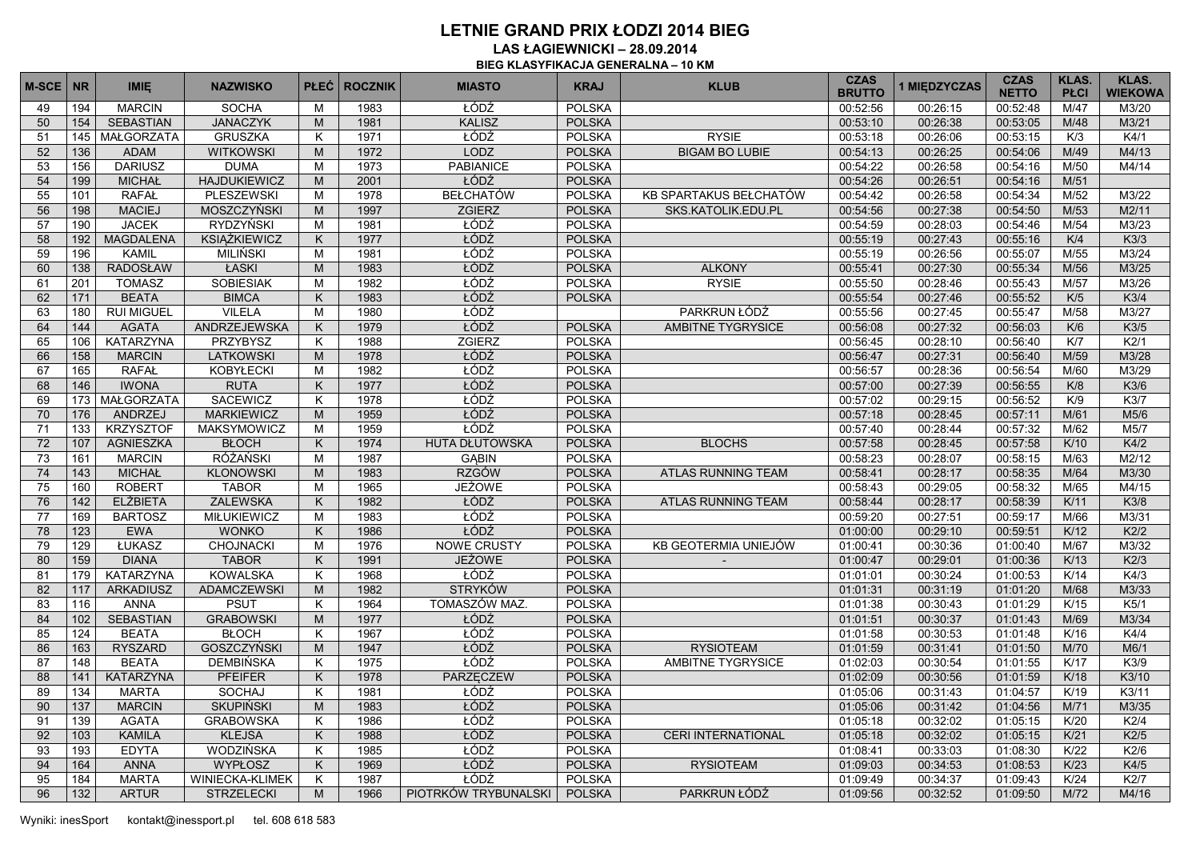**LAS ŁAGIEWNICKI – 28.09.2014 BIEG KLASYFIKACJA GENERALNA – 10 KM**

| <b>M-SCE</b> | <b>NR</b> | <b>IMIE</b>       | <b>NAZWISKO</b>     |   | <b>PLEĆ ROCZNIK</b> | <b>MIASTO</b>         | <b>KRAJ</b>   | <b>KLUB</b>               | <b>CZAS</b><br><b>BRUTTO</b> | 1 MIĘDZYCZAS | <b>CZAS</b><br><b>NETTO</b> | <b>KLAS.</b><br><b>PŁCI</b> | <b>KLAS.</b><br><b>WIEKOWA</b> |
|--------------|-----------|-------------------|---------------------|---|---------------------|-----------------------|---------------|---------------------------|------------------------------|--------------|-----------------------------|-----------------------------|--------------------------------|
| 49           | 194       | <b>MARCIN</b>     | <b>SOCHA</b>        | M | 1983                | ŁÓDŹ                  | <b>POLSKA</b> |                           | 00:52:56                     | 00:26:15     | 00:52:48                    | M/47                        | M3/20                          |
| 50           | 154       | <b>SEBASTIAN</b>  | <b>JANACZYK</b>     | M | 1981                | <b>KALISZ</b>         | <b>POLSKA</b> |                           | 00:53:10                     | 00:26:38     | 00:53:05                    | M/48                        | M3/21                          |
| 51           | 145       | <b>MAŁGORZATA</b> | <b>GRUSZKA</b>      | K | 1971                | ŁÓDŹ                  | <b>POLSKA</b> | <b>RYSIE</b>              | 00:53:18                     | 00:26:06     | 00:53:15                    | K/3                         | K4/1                           |
| 52           | 136       | <b>ADAM</b>       | <b>WITKOWSKI</b>    | M | 1972                | LODZ                  | <b>POLSKA</b> | <b>BIGAM BO LUBIE</b>     | 00:54:13                     | 00:26:25     | 00:54:06                    | M/49                        | M4/13                          |
| 53           | 156       | <b>DARIUSZ</b>    | <b>DUMA</b>         | M | 1973                | <b>PABIANICE</b>      | <b>POLSKA</b> |                           | 00:54:22                     | 00:26:58     | 00:54:16                    | M/50                        | M4/14                          |
| 54           | 199       | <b>MICHAŁ</b>     | <b>HAJDUKIEWICZ</b> | M | 2001                | ŁÓDŹ                  | <b>POLSKA</b> |                           | 00:54:26                     | 00:26:51     | 00:54:16                    | M/51                        |                                |
| 55           | 101       | <b>RAFAŁ</b>      | <b>PLESZEWSKI</b>   | M | 1978                | <b>BEŁCHATÓW</b>      | <b>POLSKA</b> | KB SPARTAKUS BEŁCHATÓW    | 00:54:42                     | 00:26:58     | 00:54:34                    | M/52                        | M3/22                          |
| 56           | 198       | <b>MACIEJ</b>     | MOSZCZYŃSKI         | M | 1997                | <b>ZGIERZ</b>         | <b>POLSKA</b> | SKS KATOLIK EDU PL        | 00:54:56                     | 00:27:38     | 00:54:50                    | M/53                        | M2/11                          |
| 57           | 190       | <b>JACEK</b>      | <b>RYDZYŃSKI</b>    | M | 1981                | ŁÓDŹ                  | <b>POLSKA</b> |                           | 00:54:59                     | 00:28:03     | 00:54:46                    | M/54                        | M3/23                          |
| 58           | 192       | <b>MAGDALENA</b>  | <b>KSIĄŻKIEWICZ</b> | K | 1977                | ŁÓDŹ                  | <b>POLSKA</b> |                           | 00:55:19                     | 00:27:43     | 00:55:16                    | K/4                         | K3/3                           |
| 59           | 196       | <b>KAMIL</b>      | <b>MILIŃSKI</b>     | M | 1981                | ŁÓDŹ                  | <b>POLSKA</b> |                           | 00:55:19                     | 00:26:56     | 00:55:07                    | M/55                        | M3/24                          |
| 60           | 138       | <b>RADOSŁAW</b>   | ŁASKI               | M | 1983                | ŁÓDŹ                  | <b>POLSKA</b> | <b>ALKONY</b>             | 00:55:41                     | 00:27:30     | 00:55:34                    | M/56                        | M3/25                          |
| 61           | 201       | <b>TOMASZ</b>     | <b>SOBIESIAK</b>    | M | 1982                | ŁÓDŹ                  | <b>POLSKA</b> | <b>RYSIE</b>              | 00:55:50                     | 00:28:46     | 00:55:43                    | M/57                        | M3/26                          |
| 62           | 171       | <b>BEATA</b>      | <b>BIMCA</b>        | K | 1983                | ŁÓDŹ                  | <b>POLSKA</b> |                           | 00:55:54                     | 00:27:46     | 00:55:52                    | K/5                         | K3/4                           |
| 63           | 180       | <b>RUI MIGUEL</b> | <b>VILELA</b>       | M | 1980                | ŁÓDŹ                  |               | PARKRUN ŁÓDŹ              | 00:55:56                     | 00:27:45     | 00:55:47                    | M/58                        | M3/27                          |
| 64           | 144       | <b>AGATA</b>      | ANDRZEJEWSKA        | K | 1979                | ŁÓDŹ                  | <b>POLSKA</b> | <b>AMBITNE TYGRYSICE</b>  | 00:56:08                     | 00:27:32     | 00:56:03                    | K/6                         | K3/5                           |
| 65           | 106       | KATARZYNA         | PRZYBYSZ            | K | 1988                | <b>ZGIERZ</b>         | <b>POLSKA</b> |                           | 00:56:45                     | 00:28:10     | 00:56:40                    | K/T                         | K2/1                           |
| 66           | 158       | <b>MARCIN</b>     | <b>LATKOWSKI</b>    | M | 1978                | ŁÓDŹ                  | <b>POLSKA</b> |                           | 00:56:47                     | 00:27:31     | 00:56:40                    | M/59                        | M3/28                          |
| 67           | 165       | <b>RAFAŁ</b>      | <b>KOBYŁECKI</b>    | M | 1982                | ŁÓDŹ                  | <b>POLSKA</b> |                           | 00:56:57                     | 00:28:36     | 00:56:54                    | M/60                        | M3/29                          |
| 68           | 146       | <b>IWONA</b>      | <b>RUTA</b>         | K | 1977                | ŁÓDŹ                  | <b>POLSKA</b> |                           | 00:57:00                     | 00:27:39     | 00:56:55                    | K/8                         | K3/6                           |
| 69           | 173       | MAŁGORZATA        | <b>SACEWICZ</b>     | K | 1978                | ŁÓDŹ                  | <b>POLSKA</b> |                           | 00:57:02                     | 00:29:15     | 00:56:52                    | K/9                         | K3/7                           |
| 70           | 176       | ANDRZEJ           | <b>MARKIEWICZ</b>   | M | 1959                | ŁÓDŹ                  | <b>POLSKA</b> |                           | 00:57:18                     | 00:28:45     | 00:57:11                    | M/61                        | M5/6                           |
| 71           | 133       | <b>KRZYSZTOF</b>  | <b>MAKSYMOWICZ</b>  | M | 1959                | ŁÓDŹ                  | <b>POLSKA</b> |                           | 00:57:40                     | 00:28:44     | 00:57:32                    | M/62                        | M5/7                           |
| 72           | 107       | <b>AGNIESZKA</b>  | <b>BŁOCH</b>        | K | 1974                | <b>HUTA DŁUTOWSKA</b> | <b>POLSKA</b> | <b>BLOCHS</b>             | 00:57:58                     | 00:28:45     | 00:57:58                    | K/10                        | K4/2                           |
| 73           | 161       | <b>MARCIN</b>     | <b>RÓŻAŃSKI</b>     | M | 1987                | <b>GABIN</b>          | <b>POLSKA</b> |                           | 00:58:23                     | 00:28:07     | 00:58:15                    | M/63                        | M2/12                          |
| 74           | 143       | <b>MICHAŁ</b>     | <b>KLONOWSKI</b>    | M | 1983                | <b>RZGÓW</b>          | <b>POLSKA</b> | <b>ATLAS RUNNING TEAM</b> | 00:58:41                     | 00:28:17     | 00:58:35                    | M/64                        | M3/30                          |
| 75           | 160       | <b>ROBERT</b>     | <b>TABOR</b>        | M | 1965                | <b>JEŻOWE</b>         | <b>POLSKA</b> |                           | 00:58:43                     | 00:29:05     | 00:58:32                    | M/65                        | M4/15                          |
| 76           | 142       | <b>ELŻBIETA</b>   | <b>ZALEWSKA</b>     | K | 1982                | ŁÓDŹ                  | <b>POLSKA</b> | <b>ATLAS RUNNING TEAM</b> | 00:58:44                     | 00:28:17     | 00:58:39                    | K/11                        | K3/8                           |
| 77           | 169       | <b>BARTOSZ</b>    | <b>MIŁUKIEWICZ</b>  | M | 1983                | ŁÓDŹ                  | <b>POLSKA</b> |                           | 00:59:20                     | 00:27:51     | 00:59:17                    | M/66                        | M3/31                          |
| 78           | 123       | <b>EWA</b>        | <b>WONKO</b>        | K | 1986                | ŁÓDŹ                  | <b>POLSKA</b> |                           | 01:00:00                     | 00:29:10     | 00:59:51                    | K/12                        | K2/2                           |
| 79           | 129       | ŁUKASZ            | <b>CHOJNACKI</b>    | M | 1976                | <b>NOWE CRUSTY</b>    | <b>POLSKA</b> | KB GEOTERMIA UNIEJÓW      | 01:00:41                     | 00:30:36     | 01:00:40                    | M/67                        | M3/32                          |
| 80           | 159       | <b>DIANA</b>      | <b>TABOR</b>        | K | 1991                | <b>JEŻOWE</b>         | <b>POLSKA</b> |                           | 01:00:47                     | 00:29:01     | 01:00:36                    | K/13                        | K2/3                           |
| 81           | 179       | KATARZYNA         | <b>KOWALSKA</b>     | K | 1968                | ŁÓDŹ                  | <b>POLSKA</b> |                           | 01:01:01                     | 00:30:24     | 01:00:53                    | K/14                        | K4/3                           |
| 82           | 117       | <b>ARKADIUSZ</b>  | <b>ADAMCZEWSKI</b>  | M | 1982                | <b>STRYKÓW</b>        | <b>POLSKA</b> |                           | 01:01:31                     | 00:31:19     | 01:01:20                    | M/68                        | M3/33                          |
| 83           | 116       | <b>ANNA</b>       | <b>PSUT</b>         | K | 1964                | TOMASZÓW MAZ.         | <b>POLSKA</b> |                           | 01:01:38                     | 00:30:43     | 01:01:29                    | K/15                        | K5/1                           |
| 84           | 102       | <b>SEBASTIAN</b>  | <b>GRABOWSKI</b>    | M | 1977                | ŁÓDŹ                  | <b>POLSKA</b> |                           | 01:01:51                     | 00:30:37     | 01:01:43                    | M/69                        | M3/34                          |
| 85           | 124       | <b>BEATA</b>      | <b>BŁOCH</b>        | K | 1967                | ŁÓDŹ                  | <b>POLSKA</b> |                           | 01:01:58                     | 00:30:53     | 01:01:48                    | K/16                        | K4/4                           |
| 86           | 163       | <b>RYSZARD</b>    | <b>GOSZCZYŃSKI</b>  | M | 1947                | ŁÓDŹ                  | <b>POLSKA</b> | <b>RYSIOTEAM</b>          | 01:01:59                     | 00:31:41     | 01:01:50                    | M/70                        | M6/1                           |
| 87           | 148       | <b>BEATA</b>      | <b>DEMBIŃSKA</b>    | K | 1975                | ŁÓDŹ                  | <b>POLSKA</b> | AMBITNE TYGRYSICE         | 01:02:03                     | 00:30:54     | 01:01:55                    | K/17                        | K3/9                           |
| 88           | 141       | <b>KATARZYNA</b>  | <b>PFEIFER</b>      | K | 1978                | <b>PARZECZEW</b>      | <b>POLSKA</b> |                           | 01:02:09                     | 00:30:56     | 01:01:59                    | K/18                        | K3/10                          |
| 89           | 134       | <b>MARTA</b>      | <b>SOCHAJ</b>       | K | 1981                | ŁÓDŹ                  | <b>POLSKA</b> |                           | 01:05:06                     | 00:31:43     | 01:04:57                    | K/19                        | K3/11                          |
| 90           | 137       | <b>MARCIN</b>     | <b>SKUPIŃSKI</b>    | M | 1983                | ŁÓDŹ                  | <b>POLSKA</b> |                           | 01:05:06                     | 00:31:42     | 01:04:56                    | M/71                        | M3/35                          |
| 91           | 139       | <b>AGATA</b>      | <b>GRABOWSKA</b>    | K | 1986                | ŁÓDŹ                  | <b>POLSKA</b> |                           | 01:05:18                     | 00:32:02     | 01:05:15                    | K/20                        | K2/4                           |
| 92           | 103       | <b>KAMILA</b>     | <b>KLEJSA</b>       | K | 1988                | ŁÓDŹ                  | <b>POLSKA</b> | <b>CERI INTERNATIONAL</b> | 01:05:18                     | 00:32:02     | 01:05:15                    | K/21                        | K2/5                           |
| 93           | 193       | <b>EDYTA</b>      | WODZIŃSKA           | K | 1985                | ŁÓDŹ                  | <b>POLSKA</b> |                           | 01:08:41                     | 00:33:03     | 01:08:30                    | K/22                        | K2/6                           |
| 94           | 164       | <b>ANNA</b>       | <b>WYPŁOSZ</b>      | K | 1969                | ŁÓDŹ                  | <b>POLSKA</b> | <b>RYSIOTEAM</b>          | 01:09:03                     | 00:34:53     | 01:08:53                    | K/23                        | K4/5                           |
| 95           | 184       | <b>MARTA</b>      | WINIECKA-KLIMEK     | K | 1987                | ŁÓDŹ                  | <b>POLSKA</b> |                           | 01:09:49                     | 00:34:37     | 01:09:43                    | K/24                        | K2/7                           |
| 96           | 132       | <b>ARTUR</b>      | <b>STRZELECKI</b>   | M | 1966                | PIOTRKÓW TRYBUNALSKI  | <b>POLSKA</b> | PARKRUN ŁÓDŹ              | 01:09:56                     | 00:32:52     | 01:09:50                    | M/72                        | M4/16                          |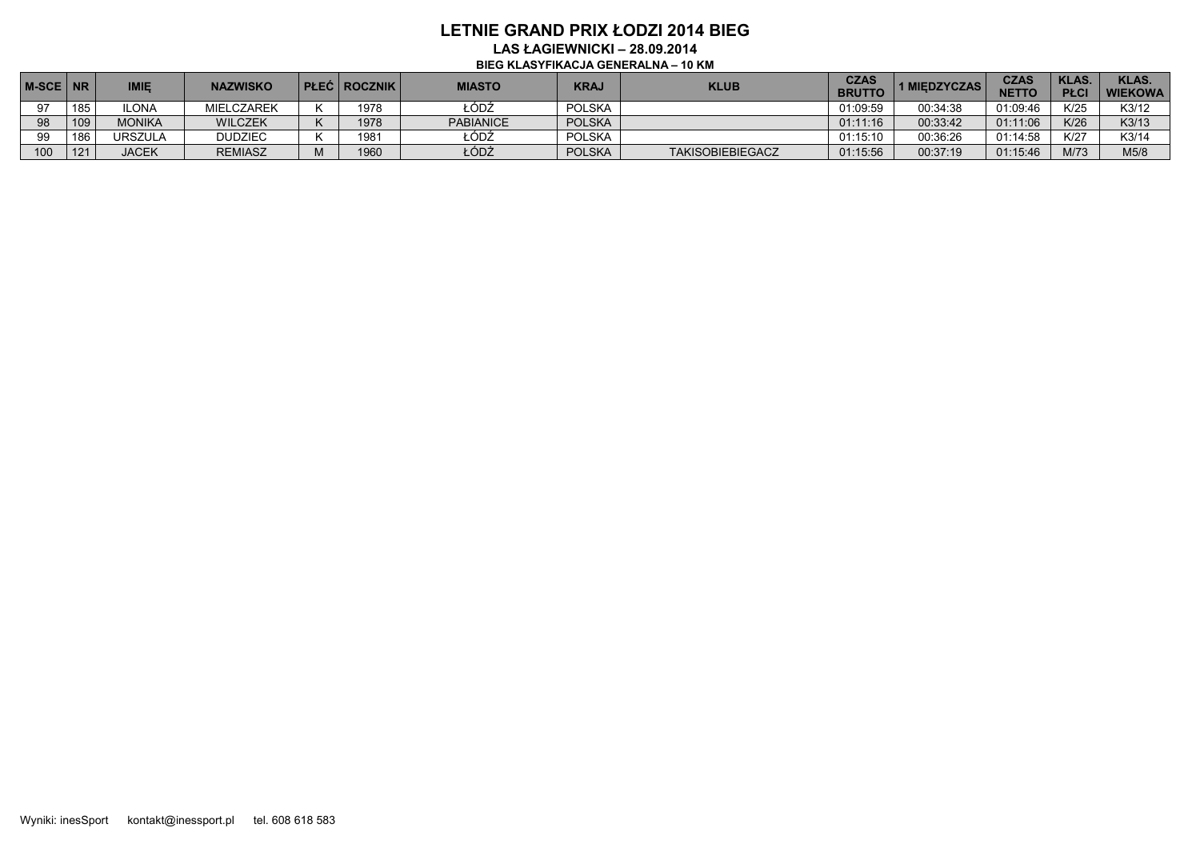**LAS ŁAGIEWNICKI – 28.09.2014 BIEG KLASYFIKACJA GENERALNA – 10 KM**

| M-SCE NR |     | <b>IMIE</b>    | <b>NAZWISKO</b>   | <b>PLEC ROCZNIK</b> | <b>MIASTO</b>    | <b>KRA.</b>   | <b>KLUB</b>             | <b>CZAS</b><br><b>BRUTTC</b> | <b>1 MIEDZYCZAS</b> | <b>CZAS</b><br>NETTO | KLAS.<br><b>PŁCI</b> | <b>KLAS.</b><br><b>WIEKOWA</b> |
|----------|-----|----------------|-------------------|---------------------|------------------|---------------|-------------------------|------------------------------|---------------------|----------------------|----------------------|--------------------------------|
| 97       | 185 | LONA           | <b>MIELCZAREK</b> | 1978                | ŁÓDŹ             | <b>POLSKA</b> |                         | 01:09:59                     | 00:34:38            | 01:09:46             | K/25                 | K3/12                          |
| 98       | 109 | <b>MONIKA</b>  | <b>WILCZEK</b>    | 1978                | <b>PABIANICE</b> | <b>POLSKA</b> |                         | 01:11:16                     | 00:33:42            | 01:11:06             | K/26                 | K3/13                          |
| 99       | 186 | <b>URSZULA</b> | <b>DUDZIEC</b>    | 1981                | ŁÓDŹ             | <b>POLSKA</b> |                         | 01:15:10                     | 00:36:26            | 01:14:58             | K/27                 | K3/14                          |
| 100      | 121 | <b>IACEK</b>   | <b>REMIASZ</b>    | 1960                | ŁÓDŻ             | <b>POLSKA</b> | <b>TAKISOBIEBIEGACZ</b> | 01:15:56                     | 00:37:19            | 01:15:46             | M/73                 | M5/8                           |